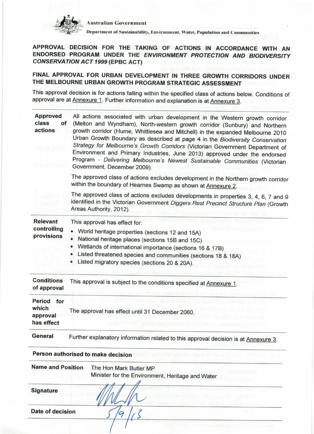

**Australian Government** 

Department of Sustainability, Environment, Water, Population and Communities

APPROVAL DECISION FOR THE TAKING OF ACTIONS IN ACCORDANCE WITH AN ENDORSED PROGRAM UNDER THE ENVIRONMENT PROTECTION AND BIODIVERSITY **CONSERVATION ACT 1999 (EPBC ACT)** 

FINAL APPROVAL FOR URBAN DEVELOPMENT IN THREE GROWTH CORRIDORS UNDER THE MELBOURNE URBAN GROWTH PROGRAM STRATEGIC ASSESSMENT

This approval decision is for actions falling within the specified class of actions below. Conditions of approval are at Annexure 1. Further information and explanation is at Annexure 3.

| <b>Approved</b><br>class<br>of<br>actions        | All actions associated with urban development in the Western growth corridor<br>(Melton and Wyndham), North-western growth corridor (Sunbury) and Northern<br>growth corridor (Hume, Whittlesea and Mitchell) in the expanded Melbourne 2010<br>Urban Growth Boundary as described at page 4 in the Biodiversity Conservation<br>Strategy for Melbourne's Growth Corridors (Victorian Government Department of<br>Environment and Primary Industries, June 2013) approved under the endorsed<br>Program - Delivering Melbourne's Newest Sustainable Communities (Victorian<br>Government, December 2009). |
|--------------------------------------------------|-----------------------------------------------------------------------------------------------------------------------------------------------------------------------------------------------------------------------------------------------------------------------------------------------------------------------------------------------------------------------------------------------------------------------------------------------------------------------------------------------------------------------------------------------------------------------------------------------------------|
|                                                  | The approved class of actions excludes development in the Northern growth corridor<br>within the boundary of Hearnes Swamp as shown at Annexure 2.                                                                                                                                                                                                                                                                                                                                                                                                                                                        |
|                                                  | The approved class of actions excludes developments in properties 3, 4, 6, 7 and 9<br>identified in the Victorian Government Diggers Rest Precinct Structure Plan (Growth<br>Areas Authority, 2012).                                                                                                                                                                                                                                                                                                                                                                                                      |
| <b>Relevant</b><br>controlling<br>provisions     | This approval has effect for:<br>World heritage properties (sections 12 and 15A)<br>National heritage places (sections 15B and 15C)<br>Wetlands of international importance (sections 16 & 17B)<br>Listed threatened species and communities (sections 18 & 18A)<br>Listed migratory species (sections 20 & 20A).                                                                                                                                                                                                                                                                                         |
| <b>Conditions</b><br>of approval                 | This approval is subject to the conditions specified at Annexure 1.                                                                                                                                                                                                                                                                                                                                                                                                                                                                                                                                       |
| Period<br>for<br>which<br>approval<br>has effect | The approval has effect until 31 December 2060.                                                                                                                                                                                                                                                                                                                                                                                                                                                                                                                                                           |
| General                                          | Further explanatory information related to this approval decision is at Annexure 3.                                                                                                                                                                                                                                                                                                                                                                                                                                                                                                                       |
|                                                  | Person authorised to make decision                                                                                                                                                                                                                                                                                                                                                                                                                                                                                                                                                                        |
| <b>Name and Position</b>                         | The Hon Mark Butler MP<br>Minister for the Environment, Heritage and Water                                                                                                                                                                                                                                                                                                                                                                                                                                                                                                                                |
| <b>Signature</b>                                 |                                                                                                                                                                                                                                                                                                                                                                                                                                                                                                                                                                                                           |
| Date of decision                                 |                                                                                                                                                                                                                                                                                                                                                                                                                                                                                                                                                                                                           |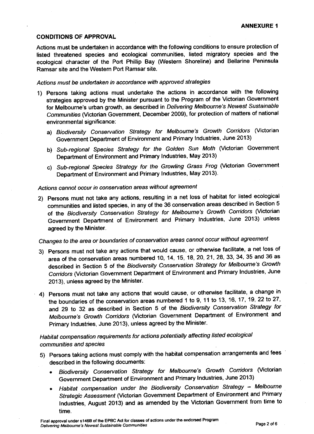#### CONDITIONS OF APPROVAL

Actions must be undertaken in accordance with the following conditions to ensure protection of listed threatened species and ecological communities, listed migratory species and the ecological character of the Port Phillip Bay (Western Shoreline) and Bellarine Peninsula Ramsar site and the Western Port Ramsar site.

#### Actions must be undeftaken in accordance with approved strategies

- 1) Persons taking actions must undertake the actions in accordance with the following strategies approved by the Minister pursuant to the Program of the Victorian Government for Melbourne's urban growth, as described in Delivering Melbourne's Newest Sustainable Communities (Victorian Government, December 2009), for protection of matters of national environmental significance:
	- a) Biodiversity Conservation Strategy for Melbourne's Growth Corridors (Victorian Government Department of Environment and Primary Industries, June 2013)
	- b) Sub-regional Species Strategy for the Golden Sun Moth (Victorian Government Department of Environment and Primary Industries, May 2013)
	- c) Sub-regional Species Strategy for the Growling Grass Frog (Victorian Government Department of Environment and Primary Industries, May 2013).

### Actions cannot occur in conservation areas without agreement

2) persons must not take any actions, resulting in a net loss of habitat for listed ecological communities and listed species, in any of the 36 conservation areas described in section <sup>5</sup> of the Biodiversity Conservation Strategy for Melbourne's Growth Corridors (Victorian Government Department of Environment and Primary Industries, June 2013) unless agreed by the Minister.

# changes to the area or boundaries of conseruation areas cannot occur without agreement

- 3) Persons must not take any actions that would cause, or otherwise facilitate, a net loss of area of the conservation areas numbered 10, 14, 15, 18, 20, 21, 28, 33, 34, 35 and 36 as described in Section 5 of the Biodiversity Conservation Strategy for Melbourne's Growth conidors (victorian Government Department of Environment and Primary Industries, June 2013), unless agreed by the Minister.
- $+$  4) Persons must not take any actions that would cause, or otherwise facilitate, a change in the boundaries of the conservation areas numbered 1 to 9, 11 to 13, 16, 17, 19, 22 to 27, and 29 to 32 as described in Section 5 of the Biodiversity Conservation Strategy for Melbourne's Growth Corridors (Victorian Government Department of Environment and Primary Industries, June 2013), unless agreed by the Minister.

## Habitat compensation requirements for actions potentially affecting listed ecological communities and species

- 5) Persons taking actions must comply with the habitat compensation arrangements and fees described in the following documents:
	- . Biodiversity consevation strategy for Melbourne's Growth conidors (victorian Government Department of Environment and Primary lndustries, June 2013)
	- Habitat compensation under the Biodiversity Conservation Strategy Melbourne Strategic Assessment (Victorian Government Department of Environment and Primary Industries, August 2013) and as amended by the Victorian Government from time to time.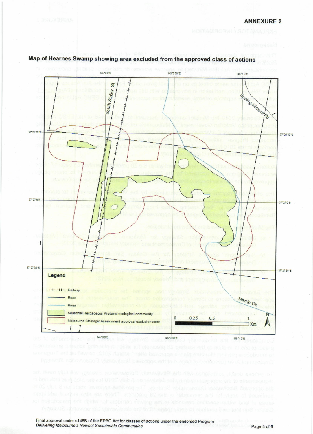

## Map of Hearnes Swamp showing area excluded from the approved class of actions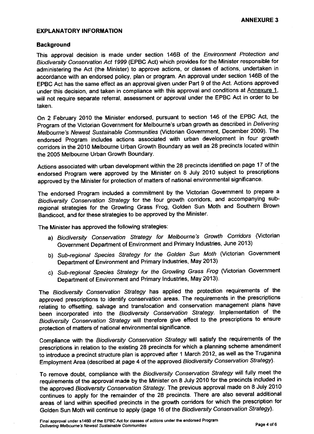#### EXPLANATORY INFORMATION

#### **Background**

This approval decision is made under section 146B of the Environment Protection and Biodiversity Consevation Act 7999 (EPBC Act) which provides for the Minisier responsible for administering the Act (the Minister) to approve actions, or classes of actions, undertaken in accordance with an endorsed policy, plan or program. An approval under section 1468 of the EPBC Act has the same effect as an approval given under Part 9 of the Act. Actions approved under this decision, and taken in compliance with this approval and conditions at Annexure 1, will not require separate referral, assessment or approval under the EPBC Act in order to be taken.

on 2 February 2O1O the Minister endorsed, pursuant to section 146 of the EPBC Act, the Program of the Victorian Government for Melbourne's urban growth as described in Delivering Melbourne's Newest Sustainable Communities (Victorian Government, December 2009). The endorsed Program includes actions associated with urban development in four growth corridors in the 2010 Melbourne Urban Growth Boundary as well as 28 precincts located within the 2005 Melbourne Urban Growth Boundary.

Actions associated with urban development within the 28 precincts identified on page 17 of the endorsed Program were approved by the Minister on 8 July 2010 subject to prescriptions approved by the Minister for protection of matters of national environmental significance.

The endorsed Program included a commitment by the Victorian Government to prepare <sup>a</sup> Biodiversity Conservation Strategy for the four growth corridors, and accompanying subregional strategies for the Growling Grass Frog, Golden Sun Moth and southern Brown Bandicoot, and for these strategies to be approved by the Minister.

The Minister has approved the following strategies:

- a) Biodiversity Conservation Strategy for Melbourne's Growth Corridors (Victorian Government Department of Environment and Primary Industries, June 2013)
- b) Sub-regional Species Strategy for the Golden Sun Moth (Victorian Government Department of Environment and Primary Industries, May 2013)
- c) Sub-regional Species Strategy for the Growling Grass Frog (Victorian Government Department of Environment and Primary Industries, May 2013).

The Biodiversity Conservation Strategy has applied the protection requirements of the approved prescriptions to identify conservation areas. The requirements in the prescriptions relating to offsetting, salvage and translocation and conservation management plans have been incorporated into the Biodiversity Conservation Strategy. Implementation of the Biodiversity Consevation Strategy will therefore give effect to the prescriptions to ensure protection of matters of national environmental significance.

Compfiance with the Biodiversity Conservation Strategy will satisfy the requirements of the prescriptions in relation to the existing 28 precincts for which a planning scheme amendment to introduce a precinct structure plan is approved after 1 March 2012, as well as the Truganina Employment Area (described at page 4 of the approved Biodiversity Conservation Strategy).

To remove doubt, compliance with the Biodiversity Conservation Strategy will fully meet the requirements of the approval made by the Minister on 8 July 2010 for the precincts included in the approved Biodiversity Conservation Strategy. The previous approval made on 8 July 2010 continues to apply for the remainder of the 28 precincts. There are also several additional areas of land within specified precincts in the growth corridors for which the prescription for Golden Sun Moth will continue to apply (page 16 of the Biodiversity Conservation Strategy).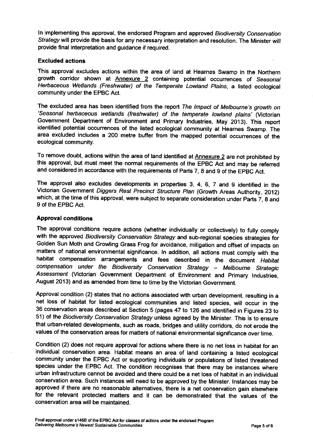In implementing this approval, the endorsed Program and approved Biodiversity Conservation Strategy will provide the basis for any necessary interpretation and resolution. The Minister will provide final interpretation and guidance if required.

#### Excluded actiong

This approval excludes actions within the area of land at Hearnes Swamp in the Northern growth corridor shown at Annexure 2 containing potential occurrences of Seasonal Herbaceous Wetlands (Freshwater) of the Temperate Lowland Plains, a listed ecological community under the EPBC Act.

The excluded area has been identified from the report The Impact of Melbourne's growth on 'Seasonal herbaceous wetlands (freshwater) of the temperate lowland plains' (Victorian Government Department of Environment and primary Industries, May 2013). This reporl identified potential occurrences of the listed ecological community at Hearnes swamp. The area excluded includes a 200 metre buffer from the mapped potential occunences of the ecological community.

To remove doubt, actions within the area of land identified at Annexure 2 are not prohibited by this approval, but must meet the normal requirements of the EpBc Act and may be refened and considered in accordance with the requirements of Parts 7, 8 and 9 of the EPBC Act.

The approval also excludes developments in properties 3, 4, 6, 7 and 9 identified in the Victorian Government Diggers Rest Precinct Structure Plan (Growth Areas Authority, 2012) which, at the time of this approval, were subject to separate consideration under Parts 7, 8 and 9 of the EPBC Act.

#### Approval condition3

The approval conditions require actions (whether individually or collectively) to fully comply with the approved Biodiversity Conservation Strategy and sub-regional species strategies for Golden sun Moth and Growling Grass Frog for avoidance, mitigation and offset of impacts on matters of national environmental significance. In addition, all actions must comply with the habitat compensation arrangements and fees described in the document Habitat compensation under the Biodiversity Conservation Strategy - Melbourne Strategic Assessment (Victorian Government Department of Environment and Primary Industries, August 2013) and as amended from time to time by the Victorian Government.

Approval condition (2) states that no actions associated wilh urban development, resulting in <sup>a</sup> net loss of habitat for listed ecological communities and listed species, will occur in the 36 conservation areas described at Section 5 (pages 47 to 126 and identified in Figures 23 to 51) of the Biodiversity Conservation Strategy unless agreed by the Minister. This is to ensure that urban-related developments, such as roads, bridges and utility corridors, do not erode the values of the conservation areas for matters of national environmental significance over time.

Condition (2) does not require approval for actions where there is no net loss in habitat for an individual conservation area. Habitat means an area of land containing a listed ecological community under the EPBC Act or supporting individuals or populations of listed threatened species under the EPBC Act. The condition recognises that there may be instances wnere urban infrastructure cannot be avoided and there could be a net loss of habitat in an individual conservation area. Such instances will need to be approved by the Minister. Instances may be approved if there are no reasonable alternatives, there is a net conservation gain elsewhere for the relevant protected mafters and it can be demonstrated that the values of the conservation area will be maintained.